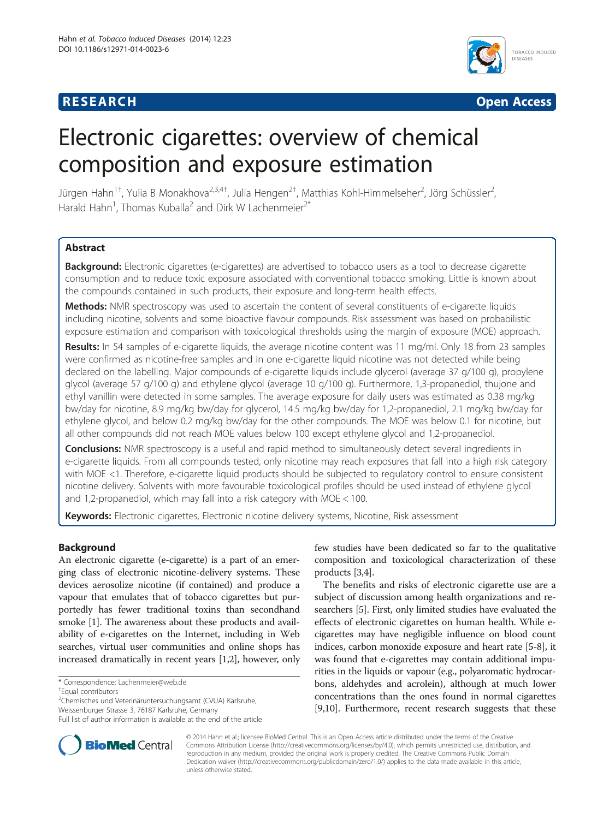

**RESEARCH RESEARCH** *CHECKER CHECKER CHECKER CHECKER CHECKER CHECKER CHECKER CHECKER CHECKER CHECKER CHECKER* 

# Electronic cigarettes: overview of chemical composition and exposure estimation

Jürgen Hahn<sup>1†</sup>, Yulia B Monakhova<sup>2,3,4†</sup>, Julia Hengen<sup>2†</sup>, Matthias Kohl-Himmelseher<sup>2</sup>, Jörg Schüssler<sup>2</sup> , Harald Hahn<sup>1</sup>, Thomas Kuballa<sup>2</sup> and Dirk W Lachenmeier<sup>2\*</sup>

# Abstract

Background: Electronic cigarettes (e-cigarettes) are advertised to tobacco users as a tool to decrease cigarette consumption and to reduce toxic exposure associated with conventional tobacco smoking. Little is known about the compounds contained in such products, their exposure and long-term health effects.

Methods: NMR spectroscopy was used to ascertain the content of several constituents of e-cigarette liquids including nicotine, solvents and some bioactive flavour compounds. Risk assessment was based on probabilistic exposure estimation and comparison with toxicological thresholds using the margin of exposure (MOE) approach.

Results: In 54 samples of e-cigarette liquids, the average nicotine content was 11 mg/ml. Only 18 from 23 samples were confirmed as nicotine-free samples and in one e-cigarette liquid nicotine was not detected while being declared on the labelling. Major compounds of e-cigarette liquids include glycerol (average 37 g/100 g), propylene glycol (average 57 g/100 g) and ethylene glycol (average 10 g/100 g). Furthermore, 1,3-propanediol, thujone and ethyl vanillin were detected in some samples. The average exposure for daily users was estimated as 0.38 mg/kg bw/day for nicotine, 8.9 mg/kg bw/day for glycerol, 14.5 mg/kg bw/day for 1,2-propanediol, 2.1 mg/kg bw/day for ethylene glycol, and below 0.2 mg/kg bw/day for the other compounds. The MOE was below 0.1 for nicotine, but all other compounds did not reach MOE values below 100 except ethylene glycol and 1,2-propanediol.

**Conclusions:** NMR spectroscopy is a useful and rapid method to simultaneously detect several ingredients in e-cigarette liquids. From all compounds tested, only nicotine may reach exposures that fall into a high risk category with MOE <1. Therefore, e-cigarette liquid products should be subjected to regulatory control to ensure consistent nicotine delivery. Solvents with more favourable toxicological profiles should be used instead of ethylene glycol and 1,2-propanediol, which may fall into a risk category with MOE < 100.

Keywords: Electronic cigarettes, Electronic nicotine delivery systems, Nicotine, Risk assessment

# Background

An electronic cigarette (e-cigarette) is a part of an emerging class of electronic nicotine-delivery systems. These devices aerosolize nicotine (if contained) and produce a vapour that emulates that of tobacco cigarettes but purportedly has fewer traditional toxins than secondhand smoke [[1](#page-9-0)]. The awareness about these products and availability of e-cigarettes on the Internet, including in Web searches, virtual user communities and online shops has increased dramatically in recent years [\[1,2\]](#page-9-0), however, only

2 Chemisches und Veterinäruntersuchungsamt (CVUA) Karlsruhe,

Weissenburger Strasse 3, 76187 Karlsruhe, Germany



The benefits and risks of electronic cigarette use are a subject of discussion among health organizations and researchers [[5](#page-9-0)]. First, only limited studies have evaluated the effects of electronic cigarettes on human health. While ecigarettes may have negligible influence on blood count indices, carbon monoxide exposure and heart rate [[5-8](#page-9-0)], it was found that e-cigarettes may contain additional impurities in the liquids or vapour (e.g., polyaromatic hydrocarbons, aldehydes and acrolein), although at much lower concentrations than the ones found in normal cigarettes [[9,10](#page-9-0)]. Furthermore, recent research suggests that these



© 2014 Hahn et al.; licensee BioMed Central. This is an Open Access article distributed under the terms of the Creative Commons Attribution License [\(http://creativecommons.org/licenses/by/4.0\)](http://creativecommons.org/licenses/by/4.0), which permits unrestricted use, distribution, and reproduction in any medium, provided the original work is properly credited. The Creative Commons Public Domain Dedication waiver [\(http://creativecommons.org/publicdomain/zero/1.0/](http://creativecommons.org/publicdomain/zero/1.0/)) applies to the data made available in this article, unless otherwise stated.

<sup>\*</sup> Correspondence: [Lachenmeier@web.de](mailto:Lachenmeier@web.de) †

Equal contributors

Full list of author information is available at the end of the article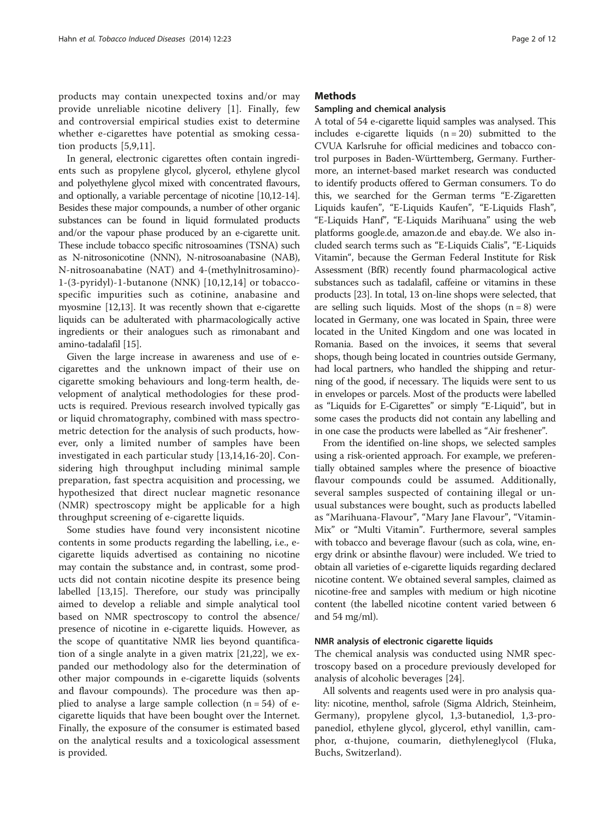products may contain unexpected toxins and/or may provide unreliable nicotine delivery [[1\]](#page-9-0). Finally, few and controversial empirical studies exist to determine whether e-cigarettes have potential as smoking cessation products [\[5](#page-9-0),[9,11\]](#page-9-0).

In general, electronic cigarettes often contain ingredients such as propylene glycol, glycerol, ethylene glycol and polyethylene glycol mixed with concentrated flavours, and optionally, a variable percentage of nicotine [[10,12-14](#page-9-0)]. Besides these major compounds, a number of other organic substances can be found in liquid formulated products and/or the vapour phase produced by an e-cigarette unit. These include tobacco specific nitrosoamines (TSNA) such as N-nitrosonicotine (NNN), N-nitrosoanabasine (NAB), N-nitrosoanabatine (NAT) and 4-(methylnitrosamino)- 1-(3-pyridyl)-1-butanone (NNK) [[10,12,14\]](#page-9-0) or tobaccospecific impurities such as cotinine, anabasine and myosmine [[12](#page-9-0),[13](#page-9-0)]. It was recently shown that e-cigarette liquids can be adulterated with pharmacologically active ingredients or their analogues such as rimonabant and amino-tadalafil [\[15\]](#page-9-0).

Given the large increase in awareness and use of ecigarettes and the unknown impact of their use on cigarette smoking behaviours and long-term health, development of analytical methodologies for these products is required. Previous research involved typically gas or liquid chromatography, combined with mass spectrometric detection for the analysis of such products, however, only a limited number of samples have been investigated in each particular study [[13,14,16-](#page-9-0)[20](#page-10-0)]. Considering high throughput including minimal sample preparation, fast spectra acquisition and processing, we hypothesized that direct nuclear magnetic resonance (NMR) spectroscopy might be applicable for a high throughput screening of e-cigarette liquids.

Some studies have found very inconsistent nicotine contents in some products regarding the labelling, i.e., ecigarette liquids advertised as containing no nicotine may contain the substance and, in contrast, some products did not contain nicotine despite its presence being labelled [\[13,15\]](#page-9-0). Therefore, our study was principally aimed to develop a reliable and simple analytical tool based on NMR spectroscopy to control the absence/ presence of nicotine in e-cigarette liquids. However, as the scope of quantitative NMR lies beyond quantification of a single analyte in a given matrix [\[21,22](#page-10-0)], we expanded our methodology also for the determination of other major compounds in e-cigarette liquids (solvents and flavour compounds). The procedure was then applied to analyse a large sample collection  $(n = 54)$  of ecigarette liquids that have been bought over the Internet. Finally, the exposure of the consumer is estimated based on the analytical results and a toxicological assessment is provided.

# **Methods**

# Sampling and chemical analysis

A total of 54 e-cigarette liquid samples was analysed. This includes e-cigarette liquids  $(n = 20)$  submitted to the CVUA Karlsruhe for official medicines and tobacco control purposes in Baden-Württemberg, Germany. Furthermore, an internet-based market research was conducted to identify products offered to German consumers. To do this, we searched for the German terms "E-Zigaretten Liquids kaufen", "E-Liquids Kaufen", "E-Liquids Flash", "E-Liquids Hanf", "E-Liquids Marihuana" using the web platforms google.de, amazon.de and ebay.de. We also included search terms such as "E-Liquids Cialis", "E-Liquids Vitamin", because the German Federal Institute for Risk Assessment (BfR) recently found pharmacological active substances such as tadalafil, caffeine or vitamins in these products [[23](#page-10-0)]. In total, 13 on-line shops were selected, that are selling such liquids. Most of the shops  $(n = 8)$  were located in Germany, one was located in Spain, three were located in the United Kingdom and one was located in Romania. Based on the invoices, it seems that several shops, though being located in countries outside Germany, had local partners, who handled the shipping and returning of the good, if necessary. The liquids were sent to us in envelopes or parcels. Most of the products were labelled as "Liquids for E-Cigarettes" or simply "E-Liquid", but in some cases the products did not contain any labelling and in one case the products were labelled as "Air freshener".

From the identified on-line shops, we selected samples using a risk-oriented approach. For example, we preferentially obtained samples where the presence of bioactive flavour compounds could be assumed. Additionally, several samples suspected of containing illegal or unusual substances were bought, such as products labelled as "Marihuana-Flavour", "Mary Jane Flavour", "Vitamin-Mix" or "Multi Vitamin". Furthermore, several samples with tobacco and beverage flavour (such as cola, wine, energy drink or absinthe flavour) were included. We tried to obtain all varieties of e-cigarette liquids regarding declared nicotine content. We obtained several samples, claimed as nicotine-free and samples with medium or high nicotine content (the labelled nicotine content varied between 6 and 54 mg/ml).

#### NMR analysis of electronic cigarette liquids

The chemical analysis was conducted using NMR spectroscopy based on a procedure previously developed for analysis of alcoholic beverages [[24\]](#page-10-0).

All solvents and reagents used were in pro analysis quality: nicotine, menthol, safrole (Sigma Aldrich, Steinheim, Germany), propylene glycol, 1,3-butanediol, 1,3-propanediol, ethylene glycol, glycerol, ethyl vanillin, camphor, α-thujone, coumarin, diethyleneglycol (Fluka, Buchs, Switzerland).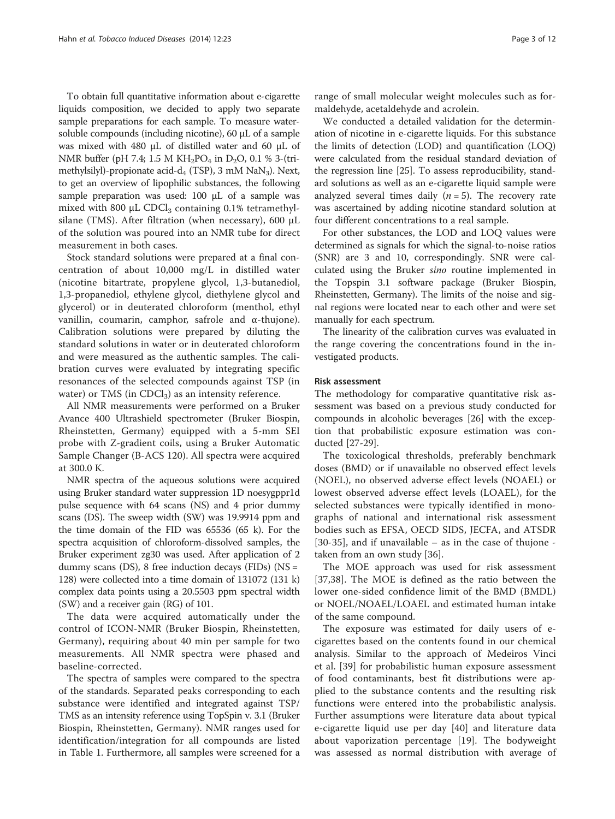To obtain full quantitative information about e-cigarette liquids composition, we decided to apply two separate sample preparations for each sample. To measure watersoluble compounds (including nicotine), 60 μL of a sample was mixed with 480 μL of distilled water and 60 μL of NMR buffer (pH 7.4; 1.5 M  $KH_2PO_4$  in  $D_2O$ , 0.1 % 3-(trimethylsilyl)-propionate acid-d<sub>4</sub> (TSP), 3 mM NaN<sub>3</sub>). Next, to get an overview of lipophilic substances, the following sample preparation was used: 100 μL of a sample was mixed with 800  $\mu$ L CDCl<sub>3</sub> containing 0.1% tetramethylsilane (TMS). After filtration (when necessary), 600 μL of the solution was poured into an NMR tube for direct measurement in both cases.

Stock standard solutions were prepared at a final concentration of about 10,000 mg/L in distilled water (nicotine bitartrate, propylene glycol, 1,3-butanediol, 1,3-propanediol, ethylene glycol, diethylene glycol and glycerol) or in deuterated chloroform (menthol, ethyl vanillin, coumarin, camphor, safrole and α-thujone). Calibration solutions were prepared by diluting the standard solutions in water or in deuterated chloroform and were measured as the authentic samples. The calibration curves were evaluated by integrating specific resonances of the selected compounds against TSP (in water) or TMS (in  $CDCl<sub>3</sub>$ ) as an intensity reference.

All NMR measurements were performed on a Bruker Avance 400 Ultrashield spectrometer (Bruker Biospin, Rheinstetten, Germany) equipped with a 5-mm SEI probe with Z-gradient coils, using a Bruker Automatic Sample Changer (B-ACS 120). All spectra were acquired at 300.0 K.

NMR spectra of the aqueous solutions were acquired using Bruker standard water suppression 1D noesygppr1d pulse sequence with 64 scans (NS) and 4 prior dummy scans (DS). The sweep width (SW) was 19.9914 ppm and the time domain of the FID was 65536 (65 k). For the spectra acquisition of chloroform-dissolved samples, the Bruker experiment zg30 was used. After application of 2 dummy scans  $(DS)$ , 8 free induction decays  $(FIDs)$   $(NS =$ 128) were collected into a time domain of 131072 (131 k) complex data points using a 20.5503 ppm spectral width (SW) and a receiver gain (RG) of 101.

The data were acquired automatically under the control of ICON-NMR (Bruker Biospin, Rheinstetten, Germany), requiring about 40 min per sample for two measurements. All NMR spectra were phased and baseline-corrected.

The spectra of samples were compared to the spectra of the standards. Separated peaks corresponding to each substance were identified and integrated against TSP/ TMS as an intensity reference using TopSpin v. 3.1 (Bruker Biospin, Rheinstetten, Germany). NMR ranges used for identification/integration for all compounds are listed in Table [1](#page-3-0). Furthermore, all samples were screened for a range of small molecular weight molecules such as formaldehyde, acetaldehyde and acrolein.

We conducted a detailed validation for the determination of nicotine in e-cigarette liquids. For this substance the limits of detection (LOD) and quantification (LOQ) were calculated from the residual standard deviation of the regression line [\[25\]](#page-10-0). To assess reproducibility, standard solutions as well as an e-cigarette liquid sample were analyzed several times daily  $(n = 5)$ . The recovery rate was ascertained by adding nicotine standard solution at four different concentrations to a real sample.

For other substances, the LOD and LOQ values were determined as signals for which the signal-to-noise ratios (SNR) are 3 and 10, correspondingly. SNR were calculated using the Bruker sino routine implemented in the Topspin 3.1 software package (Bruker Biospin, Rheinstetten, Germany). The limits of the noise and signal regions were located near to each other and were set manually for each spectrum.

The linearity of the calibration curves was evaluated in the range covering the concentrations found in the investigated products.

#### Risk assessment

The methodology for comparative quantitative risk assessment was based on a previous study conducted for compounds in alcoholic beverages [[26\]](#page-10-0) with the exception that probabilistic exposure estimation was conducted [[27](#page-10-0)-[29\]](#page-10-0).

The toxicological thresholds, preferably benchmark doses (BMD) or if unavailable no observed effect levels (NOEL), no observed adverse effect levels (NOAEL) or lowest observed adverse effect levels (LOAEL), for the selected substances were typically identified in monographs of national and international risk assessment bodies such as EFSA, OECD SIDS, JECFA, and ATSDR [[30](#page-10-0)-[35\]](#page-10-0), and if unavailable – as in the case of thujone taken from an own study [\[36](#page-10-0)].

The MOE approach was used for risk assessment [[37,38](#page-10-0)]. The MOE is defined as the ratio between the lower one-sided confidence limit of the BMD (BMDL) or NOEL/NOAEL/LOAEL and estimated human intake of the same compound.

The exposure was estimated for daily users of ecigarettes based on the contents found in our chemical analysis. Similar to the approach of Medeiros Vinci et al. [[39](#page-10-0)] for probabilistic human exposure assessment of food contaminants, best fit distributions were applied to the substance contents and the resulting risk functions were entered into the probabilistic analysis. Further assumptions were literature data about typical e-cigarette liquid use per day [\[40](#page-10-0)] and literature data about vaporization percentage [[19\]](#page-10-0). The bodyweight was assessed as normal distribution with average of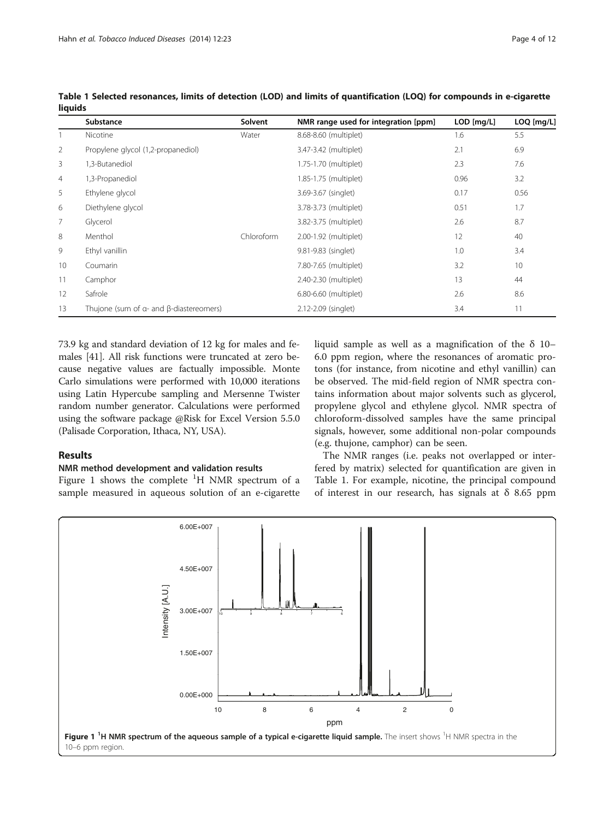|                | Substance                                              | Solvent    | NMR range used for integration [ppm] | $LOD$ [mg/L] | $LOQ$ [mg/L] |
|----------------|--------------------------------------------------------|------------|--------------------------------------|--------------|--------------|
|                | <b>Nicotine</b>                                        | Water      | 8.68-8.60 (multiplet)                | 1.6          | 5.5          |
| 2              | Propylene glycol (1,2-propanediol)                     |            | 3.47-3.42 (multiplet)                | 2.1          | 6.9          |
| 3              | 1,3-Butanediol                                         |            | 1.75-1.70 (multiplet)                | 2.3          | 7.6          |
| $\overline{4}$ | 1,3-Propanediol                                        |            | 1.85-1.75 (multiplet)                | 0.96         | 3.2          |
| 5.             | Ethylene glycol                                        |            | 3.69-3.67 (singlet)                  | 0.17         | 0.56         |
| 6              | Diethylene glycol                                      |            | 3.78-3.73 (multiplet)                | 0.51         | 1.7          |
| 7              | Glycerol                                               |            | 3.82-3.75 (multiplet)                | 2.6          | 8.7          |
| 8              | Menthol                                                | Chloroform | 2.00-1.92 (multiplet)                | 12           | 40           |
| 9              | Ethyl vanillin                                         |            | 9.81-9.83 (singlet)                  | 1.0          | 3.4          |
| 10             | Coumarin                                               |            | 7.80-7.65 (multiplet)                | 3.2          | 10           |
| 11             | Camphor                                                |            | 2.40-2.30 (multiplet)                | 13           | 44           |
| 12             | Safrole                                                |            | 6.80-6.60 (multiplet)                | 2.6          | 8.6          |
| 13             | Thujone (sum of $\alpha$ - and $\beta$ -diastereomers) |            | 2.12-2.09 (singlet)                  | 3.4          | 11           |

<span id="page-3-0"></span>Table 1 Selected resonances, limits of detection (LOD) and limits of quantification (LOQ) for compounds in e-cigarette **liquids** 

73.9 kg and standard deviation of 12 kg for males and females [[41](#page-10-0)]. All risk functions were truncated at zero because negative values are factually impossible. Monte Carlo simulations were performed with 10,000 iterations using Latin Hypercube sampling and Mersenne Twister random number generator. Calculations were performed using the software package @Risk for Excel Version 5.5.0 (Palisade Corporation, Ithaca, NY, USA).

#### Results

# NMR method development and validation results

Figure 1 shows the complete <sup>1</sup>H NMR spectrum of a sample measured in aqueous solution of an e-cigarette liquid sample as well as a magnification of the  $\delta$  10– 6.0 ppm region, where the resonances of aromatic protons (for instance, from nicotine and ethyl vanillin) can be observed. The mid-field region of NMR spectra contains information about major solvents such as glycerol, propylene glycol and ethylene glycol. NMR spectra of chloroform-dissolved samples have the same principal signals, however, some additional non-polar compounds (e.g. thujone, camphor) can be seen.

The NMR ranges (i.e. peaks not overlapped or interfered by matrix) selected for quantification are given in Table 1. For example, nicotine, the principal compound of interest in our research, has signals at  $\delta$  8.65 ppm

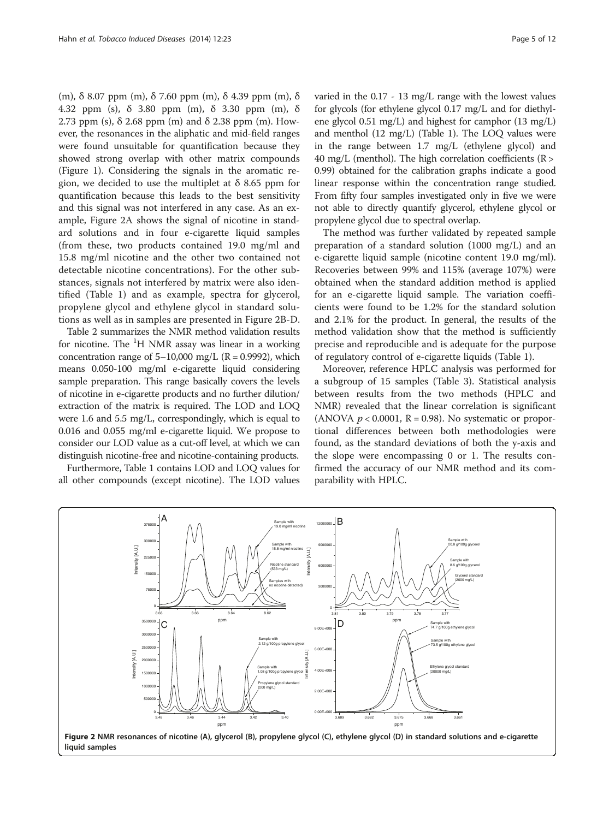(m), δ 8.07 ppm (m), δ 7.60 ppm (m), δ 4.39 ppm (m), δ 4.32 ppm (s), δ 3.80 ppm (m), δ 3.30 ppm (m), δ 2.73 ppm (s), δ 2.68 ppm (m) and δ 2.38 ppm (m). However, the resonances in the aliphatic and mid-field ranges were found unsuitable for quantification because they showed strong overlap with other matrix compounds (Figure [1](#page-3-0)). Considering the signals in the aromatic region, we decided to use the multiplet at  $\delta$  8.65 ppm for quantification because this leads to the best sensitivity and this signal was not interfered in any case. As an example, Figure 2A shows the signal of nicotine in standard solutions and in four e-cigarette liquid samples (from these, two products contained 19.0 mg/ml and 15.8 mg/ml nicotine and the other two contained not detectable nicotine concentrations). For the other substances, signals not interfered by matrix were also identified (Table [1](#page-3-0)) and as example, spectra for glycerol, propylene glycol and ethylene glycol in standard solutions as well as in samples are presented in Figure 2B-D.

Table [2](#page-5-0) summarizes the NMR method validation results for nicotine. The <sup>1</sup>H NMR assay was linear in a working concentration range of  $5-10,000$  mg/L (R = 0.9992), which means 0.050-100 mg/ml e-cigarette liquid considering sample preparation. This range basically covers the levels of nicotine in e-cigarette products and no further dilution/ extraction of the matrix is required. The LOD and LOQ were 1.6 and 5.5 mg/L, correspondingly, which is equal to 0.016 and 0.055 mg/ml e-cigarette liquid. We propose to consider our LOD value as a cut-off level, at which we can distinguish nicotine-free and nicotine-containing products.

Furthermore, Table [1](#page-3-0) contains LOD and LOQ values for all other compounds (except nicotine). The LOD values

varied in the 0.17 - 13 mg/L range with the lowest values for glycols (for ethylene glycol 0.17 mg/L and for diethylene glycol 0.51 mg/L) and highest for camphor (13 mg/L) and menthol (12 mg/L) (Table [1\)](#page-3-0). The LOQ values were in the range between 1.7 mg/L (ethylene glycol) and 40 mg/L (menthol). The high correlation coefficients ( $R >$ 0.99) obtained for the calibration graphs indicate a good linear response within the concentration range studied. From fifty four samples investigated only in five we were not able to directly quantify glycerol, ethylene glycol or propylene glycol due to spectral overlap.

The method was further validated by repeated sample preparation of a standard solution (1000 mg/L) and an e-cigarette liquid sample (nicotine content 19.0 mg/ml). Recoveries between 99% and 115% (average 107%) were obtained when the standard addition method is applied for an e-cigarette liquid sample. The variation coefficients were found to be 1.2% for the standard solution and 2.1% for the product. In general, the results of the method validation show that the method is sufficiently precise and reproducible and is adequate for the purpose of regulatory control of e-cigarette liquids (Table [1](#page-3-0)).

Moreover, reference HPLC analysis was performed for a subgroup of 15 samples (Table [3](#page-5-0)). Statistical analysis between results from the two methods (HPLC and NMR) revealed that the linear correlation is significant (ANOVA  $p < 0.0001$ , R = 0.98). No systematic or proportional differences between both methodologies were found, as the standard deviations of both the y-axis and the slope were encompassing 0 or 1. The results confirmed the accuracy of our NMR method and its comparability with HPLC.

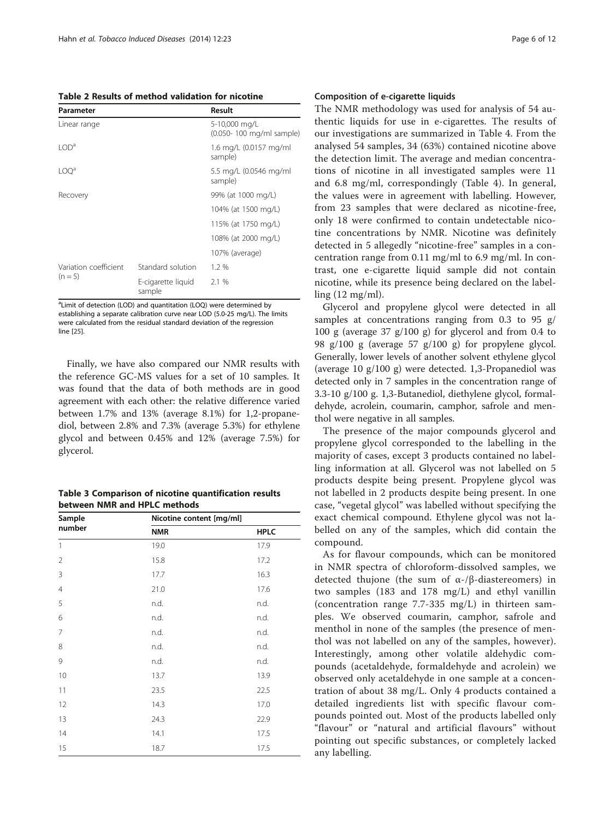<span id="page-5-0"></span>Table 2 Results of method validation for nicotine

| Parameter             |                                   | Result                                    |  |
|-----------------------|-----------------------------------|-------------------------------------------|--|
| Linear range          |                                   | 5-10,000 mg/L<br>(0.050-100 mg/ml sample) |  |
| $1^{\circ}$           | 1.6 mg/L (0.0157 mg/ml<br>sample) |                                           |  |
| LOO <sup>a</sup>      | 5.5 mg/L (0.0546 mg/ml<br>sample) |                                           |  |
| Recovery              |                                   | 99% (at 1000 mg/L)                        |  |
|                       |                                   | 104% (at 1500 mg/L)                       |  |
|                       |                                   | 115% (at 1750 mg/L)                       |  |
|                       |                                   | 108% (at 2000 mg/L)                       |  |
|                       |                                   | 107% (average)                            |  |
| Variation coefficient | Standard solution                 | $1.2\%$                                   |  |
| $(n = 5)$             | E-cigarette liquid<br>sample      | 2.1%                                      |  |

<sup>a</sup>Limit of detection (LOD) and quantitation (LOQ) were determined by establishing a separate calibration curve near LOD (5.0-25 mg/L). The limits were calculated from the residual standard deviation of the regression line [\[25\]](#page-10-0).

Finally, we have also compared our NMR results with the reference GC-MS values for a set of 10 samples. It was found that the data of both methods are in good agreement with each other: the relative difference varied between 1.7% and 13% (average 8.1%) for 1,2-propanediol, between 2.8% and 7.3% (average 5.3%) for ethylene glycol and between 0.45% and 12% (average 7.5%) for glycerol.

Table 3 Comparison of nicotine quantification results between NMR and HPLC methods

| Sample         | Nicotine content [mg/ml] |             |
|----------------|--------------------------|-------------|
| number         | <b>NMR</b>               | <b>HPLC</b> |
| 1              | 19.0                     | 17.9        |
| $\overline{2}$ | 15.8                     | 17.2        |
| $\overline{3}$ | 17.7                     | 16.3        |
| $\overline{4}$ | 21.0                     | 17.6        |
| 5              | n.d.                     | n.d.        |
| 6              | n.d.                     | n.d.        |
| 7              | n.d.                     | n.d.        |
| 8              | n.d.                     | n.d.        |
| 9              | n.d.                     | n.d.        |
| 10             | 13.7                     | 13.9        |
| 11             | 23.5                     | 22.5        |
| 12             | 14.3                     | 17.0        |
| 13             | 24.3                     | 22.9        |
| 14             | 14.1                     | 17.5        |
| 15             | 18.7                     | 17.5        |

#### Composition of e-cigarette liquids

The NMR methodology was used for analysis of 54 authentic liquids for use in e-cigarettes. The results of our investigations are summarized in Table [4.](#page-6-0) From the analysed 54 samples, 34 (63%) contained nicotine above the detection limit. The average and median concentrations of nicotine in all investigated samples were 11 and 6.8 mg/ml, correspondingly (Table [4\)](#page-6-0). In general, the values were in agreement with labelling. However, from 23 samples that were declared as nicotine-free, only 18 were confirmed to contain undetectable nicotine concentrations by NMR. Nicotine was definitely detected in 5 allegedly "nicotine-free" samples in a concentration range from 0.11 mg/ml to 6.9 mg/ml. In contrast, one e-cigarette liquid sample did not contain nicotine, while its presence being declared on the labelling (12 mg/ml).

Glycerol and propylene glycol were detected in all samples at concentrations ranging from 0.3 to 95 g/ 100 g (average 37 g/100 g) for glycerol and from 0.4 to 98 g/100 g (average 57 g/100 g) for propylene glycol. Generally, lower levels of another solvent ethylene glycol (average 10 g/100 g) were detected. 1,3-Propanediol was detected only in 7 samples in the concentration range of 3.3-10 g/100 g. 1,3-Butanediol, diethylene glycol, formaldehyde, acrolein, coumarin, camphor, safrole and menthol were negative in all samples.

The presence of the major compounds glycerol and propylene glycol corresponded to the labelling in the majority of cases, except 3 products contained no labelling information at all. Glycerol was not labelled on 5 products despite being present. Propylene glycol was not labelled in 2 products despite being present. In one case, "vegetal glycol" was labelled without specifying the exact chemical compound. Ethylene glycol was not labelled on any of the samples, which did contain the compound.

As for flavour compounds, which can be monitored in NMR spectra of chloroform-dissolved samples, we detected thujone (the sum of  $\alpha$ -/ $\beta$ -diastereomers) in two samples (183 and 178 mg/L) and ethyl vanillin (concentration range 7.7-335 mg/L) in thirteen samples. We observed coumarin, camphor, safrole and menthol in none of the samples (the presence of menthol was not labelled on any of the samples, however). Interestingly, among other volatile aldehydic compounds (acetaldehyde, formaldehyde and acrolein) we observed only acetaldehyde in one sample at a concentration of about 38 mg/L. Only 4 products contained a detailed ingredients list with specific flavour compounds pointed out. Most of the products labelled only "flavour" or "natural and artificial flavours" without pointing out specific substances, or completely lacked any labelling.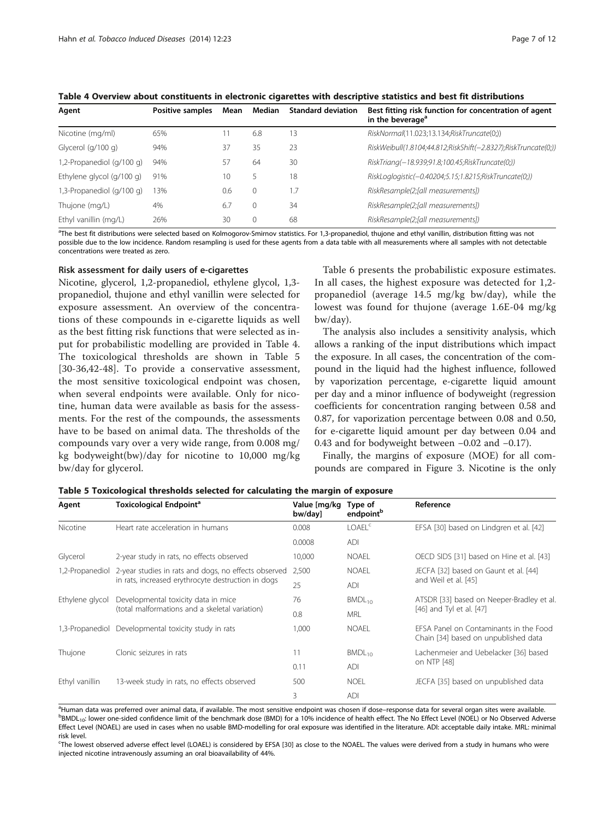<span id="page-6-0"></span>Table 4 Overview about constituents in electronic cigarettes with descriptive statistics and best fit distributions

| Agent                     | Positive samples | Mean           | Median   | <b>Standard deviation</b> | Best fitting risk function for concentration of agent<br>in the beverage <sup>a</sup> |
|---------------------------|------------------|----------------|----------|---------------------------|---------------------------------------------------------------------------------------|
| Nicotine (mg/ml)          | 65%              | $\overline{1}$ | 6.8      | 13                        | RiskNormal(11.023;13.134;RiskTruncate(0;))                                            |
| Glycerol (g/100 g)        | 94%              | 37             | 35       | 23                        | RiskWeibull(1.8104;44.812;RiskShift(-2.8327);RiskTruncate(0;))                        |
| l,2-Propanediol (g/100 g) | 94%              | 57             | 64       | 30                        | RiskTriang(-18.939;91.8;100.45;RiskTruncate(0;))                                      |
| Ethylene glycol (g/100 g) | 91%              | 10             |          | 18                        | RiskLoglogistic(-0.40204;5.15;1.8215;RiskTruncate(0;))                                |
| (g/100 g).                | 13%              | 0.6            | $\Omega$ | .7                        | RiskResample(2; [all measurements])                                                   |
| Thujone (mg/L)            | 4%               | 6.7            | 0        | 34                        | RiskResample(2;[all measurements])                                                    |
| Ethyl vanillin (mg/L)     | 26%              | 30             |          | 68                        | RiskResample(2;[all measurements])                                                    |

<sup>a</sup>The best fit distributions were selected based on Kolmogorov-Smirnov statistics. For 1,3-propanediol, thujone and ethyl vanillin, distribution fitting was not possible due to the low incidence. Random resampling is used for these agents from a data table with all measurements where all samples with not detectable concentrations were treated as zero.

#### Risk assessment for daily users of e-cigarettes

Nicotine, glycerol, 1,2-propanediol, ethylene glycol, 1,3 propanediol, thujone and ethyl vanillin were selected for exposure assessment. An overview of the concentrations of these compounds in e-cigarette liquids as well as the best fitting risk functions that were selected as input for probabilistic modelling are provided in Table 4. The toxicological thresholds are shown in Table 5 [[30-36,42-48\]](#page-10-0). To provide a conservative assessment, the most sensitive toxicological endpoint was chosen, when several endpoints were available. Only for nicotine, human data were available as basis for the assessments. For the rest of the compounds, the assessments have to be based on animal data. The thresholds of the compounds vary over a very wide range, from 0.008 mg/ kg bodyweight(bw)/day for nicotine to 10,000 mg/kg bw/day for glycerol.

Table [6](#page-7-0) presents the probabilistic exposure estimates. In all cases, the highest exposure was detected for 1,2 propanediol (average 14.5 mg/kg bw/day), while the lowest was found for thujone (average 1.6E-04 mg/kg bw/day).

The analysis also includes a sensitivity analysis, which allows a ranking of the input distributions which impact the exposure. In all cases, the concentration of the compound in the liquid had the highest influence, followed by vaporization percentage, e-cigarette liquid amount per day and a minor influence of bodyweight (regression coefficients for concentration ranging between 0.58 and 0.87, for vaporization percentage between 0.08 and 0.50, for e-cigarette liquid amount per day between 0.04 and 0.43 and for bodyweight between −0.02 and −0.17).

Finally, the margins of exposure (MOE) for all compounds are compared in Figure [3.](#page-7-0) Nicotine is the only

| Agent           | Toxicological Endpoint <sup>a</sup>                                                                        | Value [mq/kq<br>bw/day] | Type of<br>endpoint <sup>b</sup> | Reference                                                                      |
|-----------------|------------------------------------------------------------------------------------------------------------|-------------------------|----------------------------------|--------------------------------------------------------------------------------|
| Nicotine        | Heart rate acceleration in humans                                                                          | 0.008                   | <b>LOAEL<sup>c</sup></b>         | EFSA [30] based on Lindgren et al. [42]                                        |
|                 |                                                                                                            | 0.0008                  | ADI                              |                                                                                |
| Glycerol        | 2-year study in rats, no effects observed                                                                  | 10,000                  | <b>NOAEL</b>                     | OECD SIDS [31] based on Hine et al. [43]                                       |
| 1,2-Propanediol | 2-year studies in rats and dogs, no effects observed<br>in rats, increased erythrocyte destruction in dogs | 2,500                   | <b>NOAEL</b>                     | JECFA [32] based on Gaunt et al. [44]                                          |
|                 |                                                                                                            | 25                      | <b>ADI</b>                       | and Weil et al. [45]                                                           |
| Ethylene glycol | Developmental toxicity data in mice<br>(total malformations and a skeletal variation)                      | 76                      | $BMDL_{10}$                      | ATSDR [33] based on Neeper-Bradley et al.                                      |
|                 |                                                                                                            | 0.8                     | MRL                              | [46] and Tyl et al. [47]                                                       |
| 1,3-Propanediol | Developmental toxicity study in rats                                                                       | 1,000                   | <b>NOAEL</b>                     | EFSA Panel on Contaminants in the Food<br>Chain [34] based on unpublished data |
| Thujone         | Clonic seizures in rats                                                                                    | 11                      | $BMDL_{10}$                      | Lachenmeier and Uebelacker [36] based                                          |
|                 |                                                                                                            | 0.11                    | <b>ADI</b>                       | on NTP [48]                                                                    |
| Ethyl vanillin  | 13-week study in rats, no effects observed                                                                 | 500                     | <b>NOEL</b>                      | JECFA [35] based on unpublished data                                           |
|                 |                                                                                                            | 3                       | <b>ADI</b>                       |                                                                                |

Table 5 Toxicological thresholds selected for calculating the margin of exposure

<sup>a</sup>Human data was preferred over animal data, if available. The most sensitive endpoint was chosen if dose–response data for several organ sites were available BBMDL<sub>10</sub>: lower one-sided confidence limit of the benchmark dose (BMD) for a 10% incidence of health effect. The No Effect Level (NOEL) or No Observed Adverse Effect Level (NOAEL) are used in cases when no usable BMD-modelling for oral exposure was identified in the literature. ADI: acceptable daily intake. MRL: minimal risk level.

c The lowest observed adverse effect level (LOAEL) is considered by EFSA [\[30\]](#page-10-0) as close to the NOAEL. The values were derived from a study in humans who were injected nicotine intravenously assuming an oral bioavailability of 44%.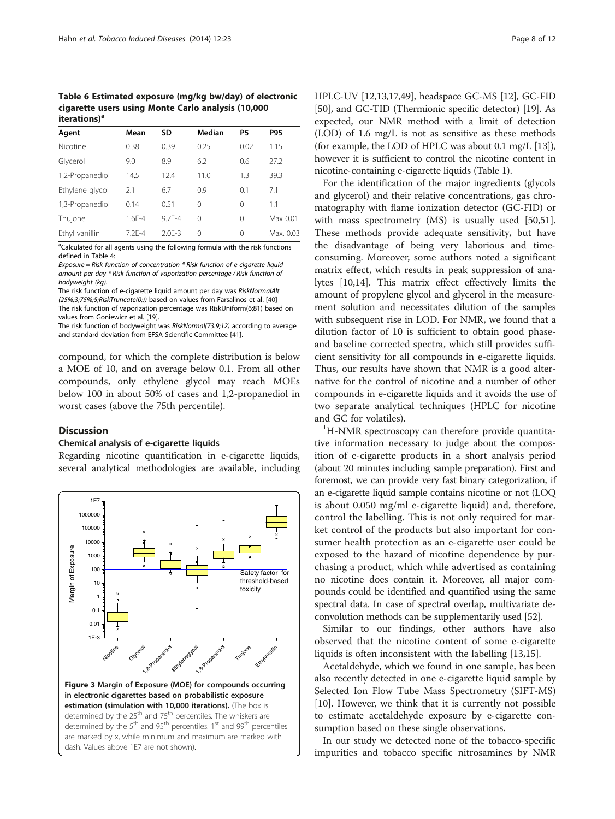<span id="page-7-0"></span>Table 6 Estimated exposure (mg/kg bw/day) of electronic cigarette users using Monte Carlo analysis (10,000 iterations)<sup>a</sup>

| Agent           | Mean       | SD         | Median | <b>P5</b> | P95       |
|-----------------|------------|------------|--------|-----------|-----------|
| Nicotine        | 0.38       | 0.39       | 0.25   | 0.02      | 1.15      |
| Glycerol        | 9.0        | 8.9        | 6.2    | 0.6       | 27.2      |
| 1,2-Propanediol | 14.5       | 12.4       | 11.0   | 1.3       | 39.3      |
| Ethylene glycol | 2.1        | 6.7        | 0.9    | 0.1       | 7.1       |
| 1,3-Propanediol | 0.14       | 0.51       | 0      | $\Omega$  | 1.1       |
| Thujone         | $1.6F - 4$ | $9.7F - 4$ | 0      | 0         | Max 0.01  |
| Ethyl vanillin  | $7.2F - 4$ | $2.0F - 3$ | 0      | $\Omega$  | Max. 0.03 |
|                 |            |            |        |           |           |

<sup>a</sup>Calculated for all agents using the following formula with the risk functions defined in Table [4](#page-6-0):

Exposure = Risk function of concentration \* Risk function of e-cigarette liquid amount per day \* Risk function of vaporization percentage / Risk function of bodyweight (kg).

The risk function of e-cigarette liquid amount per day was RiskNormalAlt (25%;3;75%;5;RiskTruncate(0;)) based on values from Farsalinos et al. [[40\]](#page-10-0) The risk function of vaporization percentage was RiskUniform(6;81) based on values from Goniewicz et al. [[19\]](#page-10-0).

The risk function of bodyweight was RiskNormal(73.9;12) according to average and standard deviation from EFSA Scientific Committee [[41](#page-10-0)].

compound, for which the complete distribution is below a MOE of 10, and on average below 0.1. From all other compounds, only ethylene glycol may reach MOEs below 100 in about 50% of cases and 1,2-propanediol in worst cases (above the 75th percentile).

## **Discussion**

## Chemical analysis of e-cigarette liquids

Regarding nicotine quantification in e-cigarette liquids, several analytical methodologies are available, including



HPLC-UV [\[12,13,](#page-9-0)[17,49\]](#page-10-0), headspace GC-MS [[12](#page-9-0)], GC-FID [[50](#page-10-0)], and GC-TID (Thermionic specific detector) [[19](#page-10-0)]. As expected, our NMR method with a limit of detection (LOD) of 1.6 mg/L is not as sensitive as these methods (for example, the LOD of HPLC was about 0.1 mg/L [[13](#page-9-0)]), however it is sufficient to control the nicotine content in nicotine-containing e-cigarette liquids (Table [1\)](#page-3-0).

For the identification of the major ingredients (glycols and glycerol) and their relative concentrations, gas chromatography with flame ionization detector (GC-FID) or with mass spectrometry (MS) is usually used [\[50,51](#page-10-0)]. These methods provide adequate sensitivity, but have the disadvantage of being very laborious and timeconsuming. Moreover, some authors noted a significant matrix effect, which results in peak suppression of analytes [\[10,14\]](#page-9-0). This matrix effect effectively limits the amount of propylene glycol and glycerol in the measurement solution and necessitates dilution of the samples with subsequent rise in LOD. For NMR, we found that a dilution factor of 10 is sufficient to obtain good phaseand baseline corrected spectra, which still provides sufficient sensitivity for all compounds in e-cigarette liquids. Thus, our results have shown that NMR is a good alternative for the control of nicotine and a number of other compounds in e-cigarette liquids and it avoids the use of two separate analytical techniques (HPLC for nicotine and GC for volatiles).

<sup>1</sup>H-NMR spectroscopy can therefore provide quantitative information necessary to judge about the composition of e-cigarette products in a short analysis period (about 20 minutes including sample preparation). First and foremost, we can provide very fast binary categorization, if an e-cigarette liquid sample contains nicotine or not (LOQ is about 0.050 mg/ml e-cigarette liquid) and, therefore, control the labelling. This is not only required for market control of the products but also important for consumer health protection as an e-cigarette user could be exposed to the hazard of nicotine dependence by purchasing a product, which while advertised as containing no nicotine does contain it. Moreover, all major compounds could be identified and quantified using the same spectral data. In case of spectral overlap, multivariate deconvolution methods can be supplementarily used [\[52\]](#page-10-0).

Similar to our findings, other authors have also observed that the nicotine content of some e-cigarette liquids is often inconsistent with the labelling [\[13,15\]](#page-9-0).

Acetaldehyde, which we found in one sample, has been also recently detected in one e-cigarette liquid sample by Selected Ion Flow Tube Mass Spectrometry (SIFT-MS) [[10\]](#page-9-0). However, we think that it is currently not possible to estimate acetaldehyde exposure by e-cigarette consumption based on these single observations.

In our study we detected none of the tobacco-specific impurities and tobacco specific nitrosamines by NMR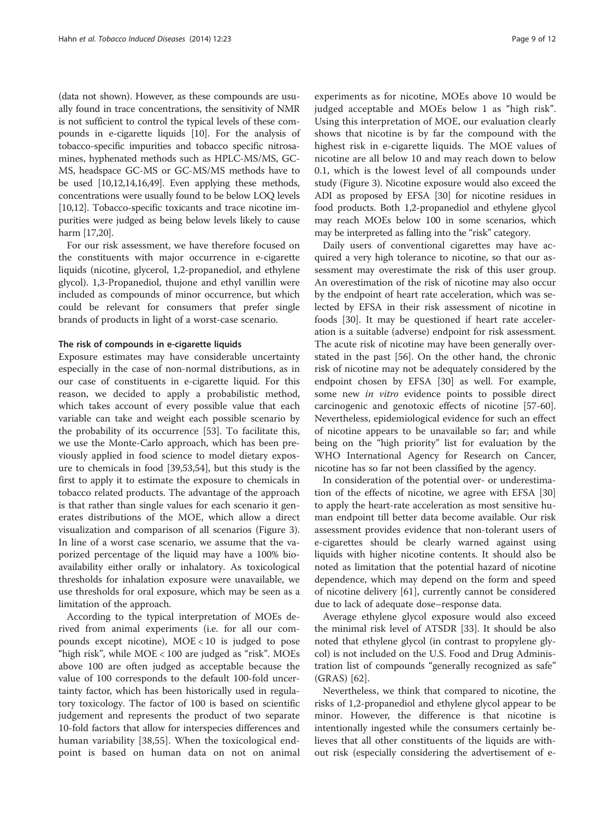(data not shown). However, as these compounds are usually found in trace concentrations, the sensitivity of NMR is not sufficient to control the typical levels of these compounds in e-cigarette liquids [\[10\]](#page-9-0). For the analysis of tobacco-specific impurities and tobacco specific nitrosamines, hyphenated methods such as HPLC-MS/MS, GC-MS, headspace GC-MS or GC-MS/MS methods have to be used [[10](#page-9-0),[12,14,16](#page-9-0),[49](#page-10-0)]. Even applying these methods, concentrations were usually found to be below LOQ levels [[10,12](#page-9-0)]. Tobacco-specific toxicants and trace nicotine impurities were judged as being below levels likely to cause harm [[17,20\]](#page-10-0).

For our risk assessment, we have therefore focused on the constituents with major occurrence in e-cigarette liquids (nicotine, glycerol, 1,2-propanediol, and ethylene glycol). 1,3-Propanediol, thujone and ethyl vanillin were included as compounds of minor occurrence, but which could be relevant for consumers that prefer single brands of products in light of a worst-case scenario.

#### The risk of compounds in e-cigarette liquids

Exposure estimates may have considerable uncertainty especially in the case of non-normal distributions, as in our case of constituents in e-cigarette liquid. For this reason, we decided to apply a probabilistic method, which takes account of every possible value that each variable can take and weight each possible scenario by the probability of its occurrence [[53\]](#page-10-0). To facilitate this, we use the Monte-Carlo approach, which has been previously applied in food science to model dietary exposure to chemicals in food [[39,53,54\]](#page-10-0), but this study is the first to apply it to estimate the exposure to chemicals in tobacco related products. The advantage of the approach is that rather than single values for each scenario it generates distributions of the MOE, which allow a direct visualization and comparison of all scenarios (Figure [3](#page-7-0)). In line of a worst case scenario, we assume that the vaporized percentage of the liquid may have a 100% bioavailability either orally or inhalatory. As toxicological thresholds for inhalation exposure were unavailable, we use thresholds for oral exposure, which may be seen as a limitation of the approach.

According to the typical interpretation of MOEs derived from animal experiments (i.e. for all our compounds except nicotine), MOE < 10 is judged to pose "high risk", while MOE < 100 are judged as "risk". MOEs above 100 are often judged as acceptable because the value of 100 corresponds to the default 100-fold uncertainty factor, which has been historically used in regulatory toxicology. The factor of 100 is based on scientific judgement and represents the product of two separate 10-fold factors that allow for interspecies differences and human variability [[38,55\]](#page-10-0). When the toxicological endpoint is based on human data on not on animal

experiments as for nicotine, MOEs above 10 would be judged acceptable and MOEs below 1 as "high risk". Using this interpretation of MOE, our evaluation clearly shows that nicotine is by far the compound with the highest risk in e-cigarette liquids. The MOE values of nicotine are all below 10 and may reach down to below 0.1, which is the lowest level of all compounds under study (Figure [3](#page-7-0)). Nicotine exposure would also exceed the ADI as proposed by EFSA [\[30\]](#page-10-0) for nicotine residues in food products. Both 1,2-propanediol and ethylene glycol may reach MOEs below 100 in some scenarios, which may be interpreted as falling into the "risk" category.

Daily users of conventional cigarettes may have acquired a very high tolerance to nicotine, so that our assessment may overestimate the risk of this user group. An overestimation of the risk of nicotine may also occur by the endpoint of heart rate acceleration, which was selected by EFSA in their risk assessment of nicotine in foods [[30](#page-10-0)]. It may be questioned if heart rate acceleration is a suitable (adverse) endpoint for risk assessment. The acute risk of nicotine may have been generally overstated in the past [[56](#page-10-0)]. On the other hand, the chronic risk of nicotine may not be adequately considered by the endpoint chosen by EFSA [[30\]](#page-10-0) as well. For example, some new in vitro evidence points to possible direct carcinogenic and genotoxic effects of nicotine [\[57-60](#page-10-0)]. Nevertheless, epidemiological evidence for such an effect of nicotine appears to be unavailable so far; and while being on the "high priority" list for evaluation by the WHO International Agency for Research on Cancer, nicotine has so far not been classified by the agency.

In consideration of the potential over- or underestimation of the effects of nicotine, we agree with EFSA [[30](#page-10-0)] to apply the heart-rate acceleration as most sensitive human endpoint till better data become available. Our risk assessment provides evidence that non-tolerant users of e-cigarettes should be clearly warned against using liquids with higher nicotine contents. It should also be noted as limitation that the potential hazard of nicotine dependence, which may depend on the form and speed of nicotine delivery [[61\]](#page-11-0), currently cannot be considered due to lack of adequate dose–response data.

Average ethylene glycol exposure would also exceed the minimal risk level of ATSDR [\[33](#page-10-0)]. It should be also noted that ethylene glycol (in contrast to propylene glycol) is not included on the U.S. Food and Drug Administration list of compounds "generally recognized as safe" (GRAS) [[62\]](#page-11-0).

Nevertheless, we think that compared to nicotine, the risks of 1,2-propanediol and ethylene glycol appear to be minor. However, the difference is that nicotine is intentionally ingested while the consumers certainly believes that all other constituents of the liquids are without risk (especially considering the advertisement of e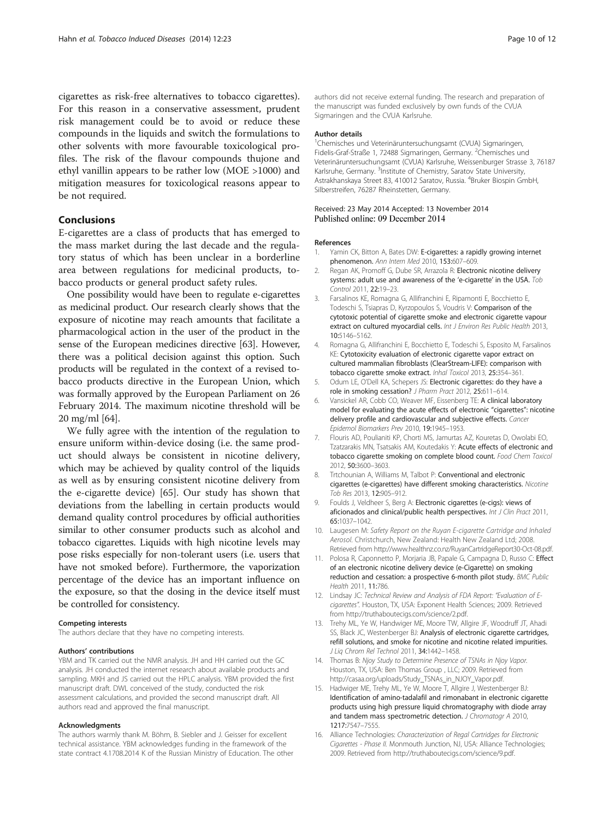<span id="page-9-0"></span>cigarettes as risk-free alternatives to tobacco cigarettes). For this reason in a conservative assessment, prudent risk management could be to avoid or reduce these compounds in the liquids and switch the formulations to other solvents with more favourable toxicological profiles. The risk of the flavour compounds thujone and ethyl vanillin appears to be rather low (MOE >1000) and mitigation measures for toxicological reasons appear to be not required.

# Conclusions

E-cigarettes are a class of products that has emerged to the mass market during the last decade and the regulatory status of which has been unclear in a borderline area between regulations for medicinal products, tobacco products or general product safety rules.

One possibility would have been to regulate e-cigarettes as medicinal product. Our research clearly shows that the exposure of nicotine may reach amounts that facilitate a pharmacological action in the user of the product in the sense of the European medicines directive [\[63\]](#page-11-0). However, there was a political decision against this option. Such products will be regulated in the context of a revised tobacco products directive in the European Union, which was formally approved by the European Parliament on 26 February 2014. The maximum nicotine threshold will be 20 mg/ml [\[64](#page-11-0)].

We fully agree with the intention of the regulation to ensure uniform within-device dosing (i.e. the same product should always be consistent in nicotine delivery, which may be achieved by quality control of the liquids as well as by ensuring consistent nicotine delivery from the e-cigarette device) [[65\]](#page-11-0). Our study has shown that deviations from the labelling in certain products would demand quality control procedures by official authorities similar to other consumer products such as alcohol and tobacco cigarettes. Liquids with high nicotine levels may pose risks especially for non-tolerant users (i.e. users that have not smoked before). Furthermore, the vaporization percentage of the device has an important influence on the exposure, so that the dosing in the device itself must be controlled for consistency.

#### Competing interests

The authors declare that they have no competing interests.

#### Authors' contributions

YBM and TK carried out the NMR analysis. JH and HH carried out the GC analysis. JH conducted the internet research about available products and sampling. MKH and JS carried out the HPLC analysis. YBM provided the first manuscript draft. DWL conceived of the study, conducted the risk assessment calculations, and provided the second manuscript draft. All authors read and approved the final manuscript.

#### Acknowledgments

The authors warmly thank M. Böhm, B. Siebler and J. Geisser for excellent technical assistance. YBM acknowledges funding in the framework of the state contract 4.1708.2014 K of the Russian Ministry of Education. The other

authors did not receive external funding. The research and preparation of the manuscript was funded exclusively by own funds of the CVUA Sigmaringen and the CVUA Karlsruhe.

#### Author details

1 Chemisches und Veterinäruntersuchungsamt (CVUA) Sigmaringen, Fidelis-Graf-Straße 1, 72488 Sigmaringen, Germany. <sup>2</sup>Chemisches und Veterinäruntersuchungsamt (CVUA) Karlsruhe, Weissenburger Strasse 3, 76187 Karlsruhe, Germany. <sup>3</sup>Institute of Chemistry, Saratov State University Astrakhanskaya Street 83, 410012 Saratov, Russia. <sup>4</sup>Bruker Biospin GmbH, Silberstreifen, 76287 Rheinstetten, Germany.

#### Received: 23 May 2014 Accepted: 13 November 2014 Published online: 09 December 2014

#### References

- 1. Yamin CK, Bitton A, Bates DW: E-cigarettes: a rapidly growing internet phenomenon. Ann Intern Med 2010, 153:607–609.
- 2. Regan AK, Promoff G, Dube SR, Arrazola R: Electronic nicotine delivery systems: adult use and awareness of the 'e-cigarette' in the USA. Tob Control 2011, 22:19–23.
- 3. Farsalinos KE, Romagna G, Allifranchini E, Ripamonti E, Bocchietto E, Todeschi S, Tsiapras D, Kyrzopoulos S, Voudris V: Comparison of the cytotoxic potential of cigarette smoke and electronic cigarette vapour extract on cultured myocardial cells. Int J Environ Res Public Health 2013, 10:5146–5162.
- 4. Romagna G, Allifranchini E, Bocchietto E, Todeschi S, Esposito M, Farsalinos KE: Cytotoxicity evaluation of electronic cigarette vapor extract on cultured mammalian fibroblasts (ClearStream-LIFE): comparison with tobacco cigarette smoke extract. Inhal Toxicol 2013, 25:354–361.
- 5. Odum LE, O'Dell KA, Schepers JS: Electronic cigarettes: do they have a role in smoking cessation? J Pharm Pract 2012, 25:611–614.
- 6. Vansickel AR, Cobb CO, Weaver MF, Eissenberg TE: A clinical laboratory model for evaluating the acute effects of electronic "cigarettes": nicotine delivery profile and cardiovascular and subjective effects. Cancer Epidemol Biomarkers Prev 2010, 19:1945–1953.
- 7. Flouris AD, Poulianiti KP, Chorti MS, Jamurtas AZ, Kouretas D, Owolabi EO, Tzatzarakis MN, Tsatsakis AM, Koutedakis Y: Acute effects of electronic and tobacco cigarette smoking on complete blood count. Food Chem Toxicol 2012, 50:3600–3603.
- 8. Trtchounian A, Williams M, Talbot P: Conventional and electronic cigarettes (e-cigarettes) have different smoking characteristics. Nicotine Tob Res 2013, 12:905–912.
- 9. Foulds J, Veldheer S, Berg A: Electronic cigarettes (e-cigs): views of aficionados and clinical/public health perspectives. Int J Clin Pract 2011, 65:1037–1042.
- 10. Laugesen M: Safety Report on the Ruyan E-cigarette Cartridge and Inhaled Aerosol. Christchurch, New Zealand: Health New Zealand Ltd; 2008. Retrieved from [http://www.healthnz.co.nz/RuyanCartridgeReport30-Oct-08.pdf.](http://www.healthnz.co.nz/RuyanCartridgeReport30-Oct-08.pdf)
- 11. Polosa R, Caponnetto P, Morjaria JB, Papale G, Campagna D, Russo C: Effect of an electronic nicotine delivery device (e-Cigarette) on smoking reduction and cessation: a prospective 6-month pilot study. BMC Public Health 2011, 11:786.
- 12. Lindsay JC: Technical Review and Analysis of FDA Report: "Evaluation of Ecigarettes". Houston, TX, USA: Exponent Health Sciences; 2009. Retrieved from<http://truthaboutecigs.com/science/2.pdf>.
- 13. Trehy ML, Ye W, Handwiger ME, Moore TW, Allgire JF, Woodruff JT, Ahadi SS, Black JC, Westenberger BJ: Analysis of electronic cigarette cartridges, refill solutions, and smoke for nicotine and nicotine related impurities. J Liq Chrom Rel Technol 2011, 34:1442–1458.
- 14. Thomas B: Njoy Study to Determine Presence of TSNAs in Njoy Vapor. Houston, TX, USA: Ben Thomas Group , LLC; 2009. Retrieved from [http://casaa.org/uploads/Study\\_TSNAs\\_in\\_NJOY\\_Vapor.pdf](http://casaa.org/uploads/Study_TSNAs_in_NJOY_Vapor.pdf).
- 15. Hadwiger ME, Trehy ML, Ye W, Moore T, Allgire J, Westenberger BJ: Identification of amino-tadalafil and rimonabant in electronic cigarette products using high pressure liquid chromatography with diode array and tandem mass spectrometric detection. J Chromatogr A 2010, 1217:7547–7555.
- 16. Alliance Technologies: Characterization of Regal Cartridges for Electronic Cigarettes - Phase II. Monmouth Junction, NJ, USA: Alliance Technologies; 2009. Retrieved from [http://truthaboutecigs.com/science/9.pdf.](http://truthaboutecigs.com/science/9.pdf)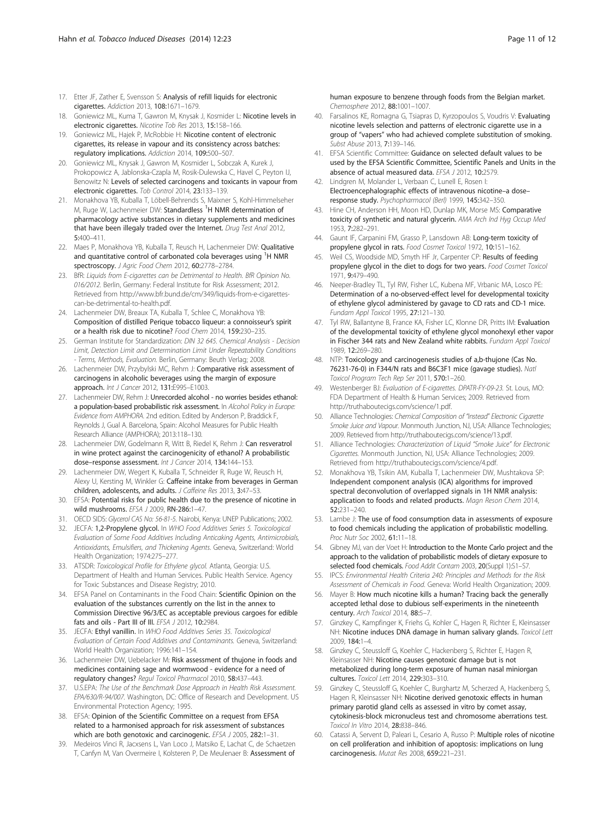- <span id="page-10-0"></span>17. Etter JF, Zather E, Svensson S: Analysis of refill liquids for electronic cigarettes. Addiction 2013, 108:1671–1679.
- 18. Goniewicz ML, Kuma T, Gawron M, Knysak J, Kosmider L: Nicotine levels in electronic cigarettes. Nicotine Tob Res 2013, 15:158–166.
- 19. Goniewicz ML, Hajek P, McRobbie H: Nicotine content of electronic cigarettes, its release in vapour and its consistency across batches: regulatory implications. Addiction 2014, 109:500–507.
- 20. Goniewicz ML, Knysak J, Gawron M, Kosmider L, Sobczak A, Kurek J, Prokopowicz A, Jablonska-Czapla M, Rosik-Dulewska C, Havel C, Peyton IJ, Benowitz N: Levels of selected carcinogens and toxicants in vapour from electronic cigarettes. Tob Control 2014, 23:133–139.
- 21. Monakhova YB, Kuballa T, Löbell-Behrends S, Maixner S, Kohl-Himmelseher M, Ruge W, Lachenmeier DW: Standardless <sup>1</sup>H NMR determination of pharmacology active substances in dietary supplements and medicines that have been illegaly traded over the Internet. Drug Test Anal 2012, 5:400–411.
- 22. Maes P, Monakhova YB, Kuballa T, Reusch H, Lachenmeier DW: Qualitative and quantitative control of carbonated cola beverages using <sup>1</sup>H NMR spectroscopy. J Agric Food Chem 2012, 60:2778–2784.
- 23. BfR: Liquids from E-cigarettes can be Detrimental to Health. BfR Opinion No. 016/2012. Berlin, Germany: Federal Institute for Risk Assessment; 2012. Retrieved from [http://www.bfr.bund.de/cm/349/liquids-from-e-cigarettes](http://www.bfr.bund.de/cm/349/liquids-from-e-cigarettes-can-be-detrimental-to-health.pdf)[can-be-detrimental-to-health.pdf.](http://www.bfr.bund.de/cm/349/liquids-from-e-cigarettes-can-be-detrimental-to-health.pdf)
- 24. Lachenmeier DW, Breaux TA, Kuballa T, Schlee C, Monakhova YB: Composition of distilled Perique tobacco liqueur: a connoisseur's spirit or a health risk due to nicotine? Food Chem 2014, 159:230–235.
- 25. German Institute for Standardization: DIN 32 645. Chemical Analysis Decision Limit, Detection Limit and Determination Limit Under Repeatability Conditions - Terms, Methods, Evaluation. Berlin, Germany: Beuth Verlag; 2008.
- 26. Lachenmeier DW, Przybylski MC, Rehm J: Comparative risk assessment of carcinogens in alcoholic beverages using the margin of exposure approach. Int J Cancer 2012, 131:E995–E1003.
- 27. Lachenmeier DW, Rehm J: Unrecorded alcohol no worries besides ethanol: a population-based probabilistic risk assessment. In Alcohol Policy in Europe: Evidence from AMPHORA. 2nd edition. Edited by Anderson P, Braddick F, Reynolds J, Gual A. Barcelona, Spain: Alcohol Measures for Public Health Research Alliance (AMPHORA); 2013:118–130.
- 28. Lachenmeier DW, Godelmann R, Witt B, Riedel K, Rehm J: Can resveratrol in wine protect against the carcinogenicity of ethanol? A probabilistic dose–response assessment. Int J Cancer 2014, 134:144–153.
- 29. Lachenmeier DW, Wegert K, Kuballa T, Schneider R, Ruge W, Reusch H, Alexy U, Kersting M, Winkler G: Caffeine intake from beverages in German children, adolescents, and adults. J Caffeine Res 2013, 3:47-53.
- 30. EFSA: Potential risks for public health due to the presence of nicotine in wild mushrooms. EFSA J 2009, RN-286:1–47.
- 31. OECD SIDS: Glycerol CAS No: 56-81-5. Nairobi, Kenya: UNEP Publications; 2002.
- 32. JECFA: 1,2-Propylene glycol. In WHO Food Additives Series 5. Toxicological Evaluation of Some Food Additives Including Anticaking Agents, Antimicrobials, Antioxidants, Emulsifiers, and Thickening Agents. Geneva, Switzerland: World Health Organization; 1974:275–277.
- 33. ATSDR: Toxicological Profile for Ethylene glycol. Atlanta, Georgia: U.S. Department of Health and Human Services. Public Health Service. Agency for Toxic Substances and Disease Registry; 2010.
- 34. EFSA Panel on Contaminants in the Food Chain: Scientific Opinion on the evaluation of the substances currently on the list in the annex to Commission Directive 96/3/EC as acceptable previous cargoes for edible fats and oils - Part III of III. EFSA J 2012, 10:2984.
- 35. JECFA: Ethyl vanillin. In WHO Food Additives Series 35. Toxicological Evaluation of Certain Food Additives and Contaminants. Geneva, Switzerland: World Health Organization; 1996:141–154.
- 36. Lachenmeier DW, Uebelacker M: Risk assessment of thujone in foods and medicines containing sage and wormwood - evidence for a need of regulatory changes? Regul Toxicol Pharmacol 2010, 58:437–443.
- 37. U.S.EPA: The Use of the Benchmark Dose Approach in Health Risk Assessment. EPA/630/R-94/007. Washington, DC: Office of Research and Development. US Environmental Protection Agency; 1995.
- 38. EFSA: Opinion of the Scientific Committee on a request from EFSA related to a harmonised approach for risk assessment of substances which are both genotoxic and carcinogenic. EFSA J 2005, 282:1-31.
- 39. Medeiros Vinci R, Jacxsens L, Van Loco J, Matsiko E, Lachat C, de Schaetzen T, Canfyn M, Van Overmeire I, Kolsteren P, De Meulenaer B: Assessment of

human exposure to benzene through foods from the Belgian market. Chemosphere 2012, 88:1001–1007.

- 40. Farsalinos KE, Romagna G, Tsiapras D, Kyrzopoulos S, Voudris V: Evaluating nicotine levels selection and patterns of electronic cigarette use in a group of "vapers" who had achieved complete substitution of smoking. Subst Abuse 2013, 7:139–146.
- 41. EFSA Scientific Committee: Guidance on selected default values to be used by the EFSA Scientific Committee, Scientific Panels and Units in the absence of actual measured data. EFSA J 2012, 10:2579.
- 42. Lindgren M, Molander L, Verbaan C, Lunell E, Rosen I: Electroencephalographic effects of intravenous nicotine–a dose– response study. Psychopharmacol (Berl) 1999, 145:342–350.
- 43. Hine CH, Anderson HH, Moon HD, Dunlap MK, Morse MS: Comparative toxicity of synthetic and natural glycerin. AMA Arch Ind Hyg Occup Med 1953, 7:282–291.
- 44. Gaunt IF, Carpanini FM, Grasso P, Lansdown AB: Long-term toxicity of propylene glycol in rats. Food Cosmet Toxicol 1972, 10:151-162.
- 45. Weil CS, Woodside MD, Smyth HF Jr, Carpenter CP: Results of feeding propylene glycol in the diet to dogs for two years. Food Cosmet Toxicol 1971, 9:479–490.
- 46. Neeper-Bradley TL, Tyl RW, Fisher LC, Kubena MF, Vrbanic MA, Losco PE: Determination of a no-observed-effect level for developmental toxicity of ethylene glycol administered by gavage to CD rats and CD-1 mice. Fundam Appl Toxicol 1995, 27:121–130.
- 47. Tyl RW, Ballantyne B, France KA, Fisher LC, Klonne DR, Pritts IM: Evaluation of the developmental toxicity of ethylene glycol monohexyl ether vapor in Fischer 344 rats and New Zealand white rabbits. Fundam Appl Toxicol 1989, 12:269–280.
- 48. NTP: Toxicology and carcinogenesis studies of a,b-thujone (Cas No. 76231-76-0) in F344/N rats and B6C3F1 mice (gavage studies). Natl Toxicol Program Tech Rep Ser 2011, 570:1-260.
- 49. Westenberger BJ: Evaluation of E-cigarettes. DPATR-FY-09-23. St. Lous, MO: FDA Department of Health & Human Services; 2009. Retrieved from [http://truthaboutecigs.com/science/1.pdf.](http://truthaboutecigs.com/science/1.pdf)
- 50. Alliance Technologies: Chemical Composition of "Instead" Electronic Cigarette Smoke Juice and Vapour. Monmouth Junction, NJ, USA: Alliance Technologies; 2009. Retrieved from [http://truthaboutecigs.com/science/13.pdf.](http://truthaboutecigs.com/science/13.pdf)
- 51. Alliance Technologies: Characterization of Liquid "Smoke Juice" for Electronic Cigarettes. Monmouth Junction, NJ, USA: Alliance Technologies; 2009. Retrieved from [http://truthaboutecigs.com/science/4.pdf.](http://truthaboutecigs.com/science/4.pdf)
- 52. Monakhova YB, Tsikin AM, Kuballa T, Lachenmeier DW, Mushtakova SP: Independent component analysis (ICA) algorithms for improved spectral deconvolution of overlapped signals in 1H NMR analysis: application to foods and related products. Magn Reson Chem 2014, 52:231–240.
- 53. Lambe J: The use of food consumption data in assessments of exposure to food chemicals including the application of probabilistic modelling. Proc Nutr Soc 2002, 61:11–18.
- 54. Gibney MJ, van der Voet H: Introduction to the Monte Carlo project and the approach to the validation of probabilistic models of dietary exposure to selected food chemicals. Food Addit Contam 2003, 20(Suppl 1):S1–S7.
- 55. IPCS: Environmental Health Criteria 240: Principles and Methods for the Risk Assessment of Chemicals in Food. Geneva: World Health Organization; 2009.
- 56. Mayer B: How much nicotine kills a human? Tracing back the generally accepted lethal dose to dubious self-experiments in the nineteenth century. Arch Toxicol 2014, 88:5-7.
- 57. Ginzkey C, Kampfinger K, Friehs G, Kohler C, Hagen R, Richter E, Kleinsasser NH: Nicotine induces DNA damage in human salivary glands. Toxicol Lett 2009, 184:1–4.
- 58. Ginzkey C, Steussloff G, Koehler C, Hackenberg S, Richter E, Hagen R, Kleinsasser NH: Nicotine causes genotoxic damage but is not metabolized during long-term exposure of human nasal miniorgan cultures. Toxicol Lett 2014, 229:303–310.
- 59. Ginzkey C, Steussloff G, Koehler C, Burghartz M, Scherzed A, Hackenberg S, Hagen R, Kleinsasser NH: Nicotine derived genotoxic effects in human primary parotid gland cells as assessed in vitro by comet assay, cytokinesis-block micronucleus test and chromosome aberrations test. Toxicol In Vitro 2014, 28:838–846.
- 60. Catassi A, Servent D, Paleari L, Cesario A, Russo P: Multiple roles of nicotine on cell proliferation and inhibition of apoptosis: implications on lung carcinogenesis. Mutat Res 2008, 659:221–231.